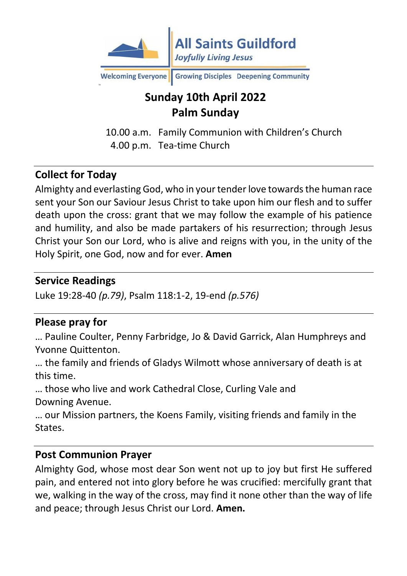

Welcoming Everyone Growing Disciples Deepening Community

## **Sunday 10th April 2022 Palm Sunday**

10.00 a.m. Family Communion with Children's Church 4.00 p.m. Tea-time Church

#### **Collect for Today**

Almighty and everlasting God, who in your tender love towards the human race sent your Son our Saviour Jesus Christ to take upon him our flesh and to suffer death upon the cross: grant that we may follow the example of his patience and humility, and also be made partakers of his resurrection; through Jesus Christ your Son our Lord, who is alive and reigns with you, in the unity of the Holy Spirit, one God, now and for ever. **Amen**

#### **Service Readings**

Luke 19:28-40 *(p.79)*, Psalm 118:1-2, 19-end *(p.576)*

#### **Please pray for**

… Pauline Coulter, Penny Farbridge, Jo & David Garrick, Alan Humphreys and Yvonne Quittenton.

… the family and friends of Gladys Wilmott whose anniversary of death is at this time.

… those who live and work Cathedral Close, Curling Vale and Downing Avenue.

… our Mission partners, the Koens Family, visiting friends and family in the States.

#### **Post Communion Prayer**

Almighty God, whose most dear Son went not up to joy but first He suffered pain, and entered not into glory before he was crucified: mercifully grant that we, walking in the way of the cross, may find it none other than the way of life and peace; through Jesus Christ our Lord. **Amen.**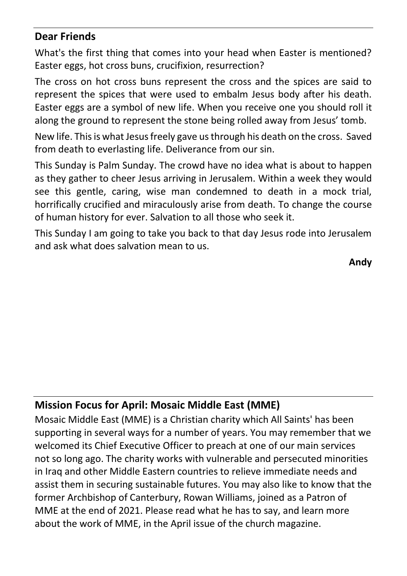#### **Dear Friends**

What's the first thing that comes into your head when Easter is mentioned? Easter eggs, hot cross buns, crucifixion, resurrection?

The cross on hot cross buns represent the cross and the spices are said to represent the spices that were used to embalm Jesus body after his death. Easter eggs are a symbol of new life. When you receive one you should roll it along the ground to represent the stone being rolled away from Jesus' tomb.

New life. This is what Jesus freely gave us through his death on the cross. Saved from death to everlasting life. Deliverance from our sin.

This Sunday is Palm Sunday. The crowd have no idea what is about to happen as they gather to cheer Jesus arriving in Jerusalem. Within a week they would see this gentle, caring, wise man condemned to death in a mock trial, horrifically crucified and miraculously arise from death. To change the course of human history for ever. Salvation to all those who seek it.

This Sunday I am going to take you back to that day Jesus rode into Jerusalem and ask what does salvation mean to us.

**Andy**

### **Mission Focus for April: Mosaic Middle East (MME)**

Mosaic Middle East (MME) is a Christian charity which All Saints' has been supporting in several ways for a number of years. You may remember that we welcomed its Chief Executive Officer to preach at one of our main services not so long ago. The charity works with vulnerable and persecuted minorities in Iraq and other Middle Eastern countries to relieve immediate needs and assist them in securing sustainable futures. You may also like to know that the former Archbishop of Canterbury, Rowan Williams, joined as a Patron of MME at the end of 2021. Please read what he has to say, and learn more about the work of MME, in the April issue of the church magazine.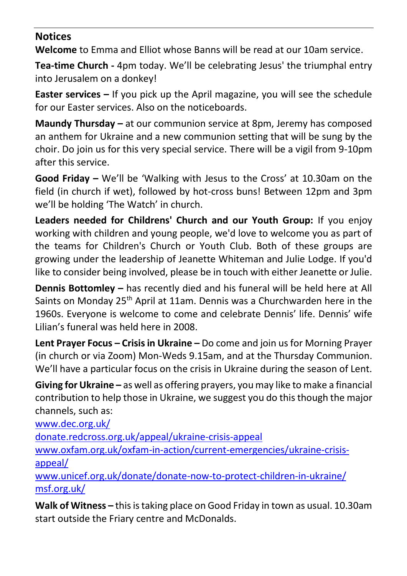#### **Notices**

**Welcome** to Emma and Elliot whose Banns will be read at our 10am service.

**Tea-time Church -** 4pm today. We'll be celebrating Jesus' the triumphal entry into Jerusalem on a donkey!

**Easter services –** If you pick up the April magazine, you will see the schedule for our Easter services. Also on the noticeboards.

**Maundy Thursday –** at our communion service at 8pm, Jeremy has composed an anthem for Ukraine and a new communion setting that will be sung by the choir. Do join us for this very special service. There will be a vigil from 9-10pm after this service.

**Good Friday –** We'll be 'Walking with Jesus to the Cross' at 10.30am on the field (in church if wet), followed by hot-cross buns! Between 12pm and 3pm we'll be holding 'The Watch' in church.

**Leaders needed for Childrens' Church and our Youth Group:** If you enjoy working with children and young people, we'd love to welcome you as part of the teams for Children's Church or Youth Club. Both of these groups are growing under the leadership of Jeanette Whiteman and Julie Lodge. If you'd like to consider being involved, please be in touch with either Jeanette or Julie.

**Dennis Bottomley –** has recently died and his funeral will be held here at All Saints on Monday 25<sup>th</sup> April at 11am. Dennis was a Churchwarden here in the 1960s. Everyone is welcome to come and celebrate Dennis' life. Dennis' wife Lilian's funeral was held here in 2008.

**Lent Prayer Focus – Crisis in Ukraine –** Do come and join us for Morning Prayer (in church or via Zoom) Mon-Weds 9.15am, and at the Thursday Communion. We'll have a particular focus on the crisis in Ukraine during the season of Lent.

**Giving for Ukraine –** as well as offering prayers, you may like to make a financial contribution to help those in Ukraine, we suggest you do this though the major channels, such as:

[www.dec.org.uk/](http://www.dec.org.uk/)

[donate.redcross.org.uk/appeal/ukraine-crisis-appeal](https://donate.redcross.org.uk/appeal/ukraine-crisis-appeal)

[www.oxfam.org.uk/oxfam-in-action/current-emergencies/ukraine-crisis](http://www.oxfam.org.uk/oxfam-in-action/current-emergencies/ukraine-crisis-appeal/)[appeal/](http://www.oxfam.org.uk/oxfam-in-action/current-emergencies/ukraine-crisis-appeal/)

[www.unicef.org.uk/donate/donate-now-to-protect-children-in-ukraine/](http://www.unicef.org.uk/donate/donate-now-to-protect-children-in-ukraine/) [msf.org.uk/](https://msf.org.uk/)

**Walk of Witness –** this is taking place on Good Friday in town as usual. 10.30am start outside the Friary centre and McDonalds.